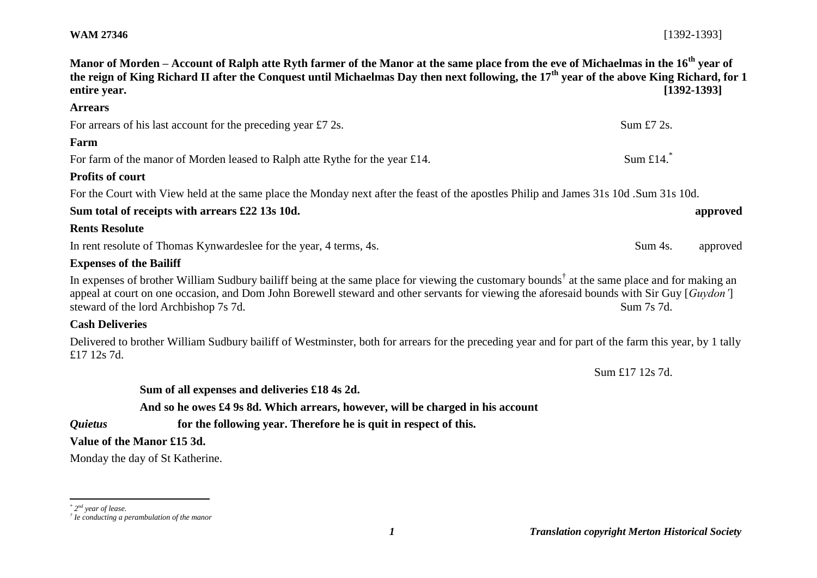| <b>WAM 27346</b> | $[1392 - 1393]$ |
|------------------|-----------------|
|------------------|-----------------|

| entire year.                   | Manor of Morden – Account of Ralph atte Ryth farmer of the Manor at the same place from the eve of Michaelmas in the 16 <sup>th</sup> year of<br>the reign of King Richard II after the Conquest until Michaelmas Day then next following, the 17 <sup>th</sup> year of the above King Richard, for 1                                          | $[1392 - 1393]$     |
|--------------------------------|------------------------------------------------------------------------------------------------------------------------------------------------------------------------------------------------------------------------------------------------------------------------------------------------------------------------------------------------|---------------------|
| <b>Arrears</b>                 |                                                                                                                                                                                                                                                                                                                                                |                     |
|                                | For arrears of his last account for the preceding year £7 2s.                                                                                                                                                                                                                                                                                  | Sum $£7$ 2s.        |
| Farm                           |                                                                                                                                                                                                                                                                                                                                                |                     |
|                                | For farm of the manor of Morden leased to Ralph atte Rythe for the year £14.                                                                                                                                                                                                                                                                   | Sum £14. $*$        |
| <b>Profits of court</b>        |                                                                                                                                                                                                                                                                                                                                                |                     |
|                                | For the Court with View held at the same place the Monday next after the feast of the apostles Philip and James 31s 10d .Sum 31s 10d.                                                                                                                                                                                                          |                     |
|                                | Sum total of receipts with arrears £22 13s 10d.                                                                                                                                                                                                                                                                                                | approved            |
| <b>Rents Resolute</b>          |                                                                                                                                                                                                                                                                                                                                                |                     |
|                                | In rent resolute of Thomas Kynwardeslee for the year, 4 terms, 4s.                                                                                                                                                                                                                                                                             | Sum 4s.<br>approved |
| <b>Expenses of the Bailiff</b> |                                                                                                                                                                                                                                                                                                                                                |                     |
|                                | In expenses of brother William Sudbury bailiff being at the same place for viewing the customary bounds <sup>†</sup> at the same place and for making an<br>appeal at court on one occasion, and Dom John Borewell steward and other servants for viewing the aforesaid bounds with Sir Guy [Guydon']<br>steward of the lord Archbishop 7s 7d. | Sum 7s 7d.          |
| <b>Cash Deliveries</b>         |                                                                                                                                                                                                                                                                                                                                                |                     |
| £17 12s 7d.                    | Delivered to brother William Sudbury bailiff of Westminster, both for arrears for the preceding year and for part of the farm this year, by 1 tally                                                                                                                                                                                            |                     |
|                                |                                                                                                                                                                                                                                                                                                                                                | Sum £17 12s 7d.     |
|                                | Sum of all expenses and deliveries £18 4s 2d.                                                                                                                                                                                                                                                                                                  |                     |
|                                | And so he owes £4 9s 8d. Which arrears, however, will be charged in his account                                                                                                                                                                                                                                                                |                     |
| <i><b>Quietus</b></i>          | for the following year. Therefore he is quit in respect of this.                                                                                                                                                                                                                                                                               |                     |
|                                | Value of the Manor £15 3d.                                                                                                                                                                                                                                                                                                                     |                     |

Monday the day of St Katherine.

 *\* 2 nd year of lease. † Ie conducting a perambulation of the manor*